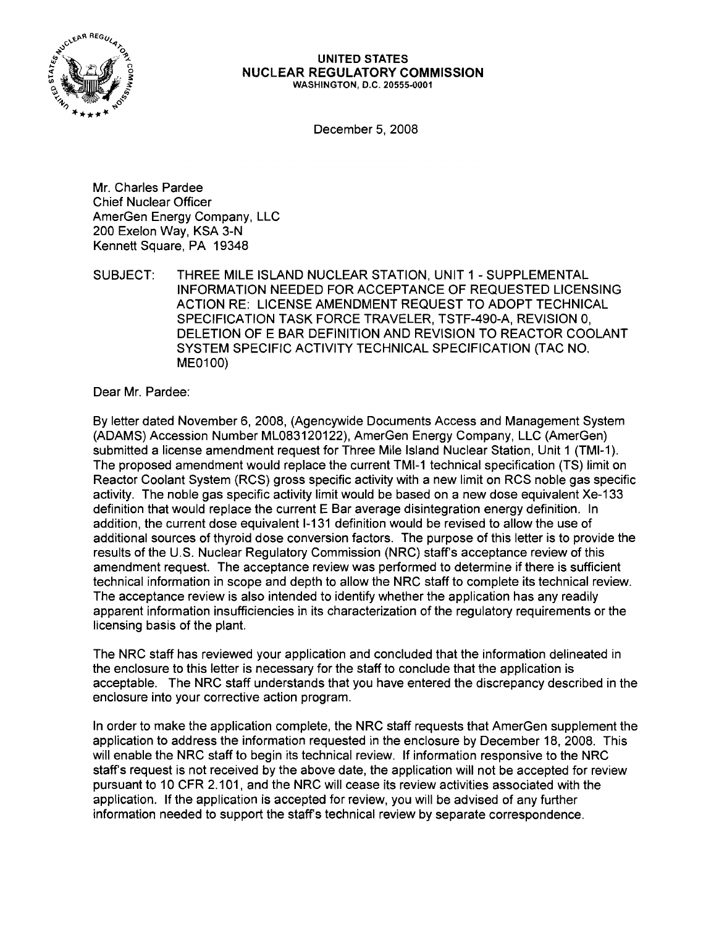

#### UNITED STATES NUCLEAR REGULATORY COMMISSION WASHINGTON, D.C. 20555-0001

December 5, 2008

Mr. Charles Pardee Chief Nuclear Officer AmerGen Energy Company, LLC 200 Exelon Way, KSA 3-N Kennett Square, PA 19348

SUBJECT: THREE MILE ISLAND NUCLEAR STATION, UNIT 1 - SUPPLEMENTAL INFORMATION NEEDED FOR ACCEPTANCE OF REQUESTED LICENSING ACTION RE: LICENSE AMENDMENT REQUEST TO ADOPT TECHNICAL SPECIFICATION TASK FORCE TRAVELER, TSTF-490-A, REVISION 0, DELETION OF E BAR DEFINITION AND REVISION TO REACTOR COOLANT SYSTEM SPECIFIC ACTIVITY TECHNICAL SPECIFICATION (TAC NO. ME0100)

Dear Mr. Pardee:

By letter dated November 6, 2008, (Agencywide Documents Access and Management System (ADAMS) Accession Number ML083120122), AmerGen Energy Company, LLC (AmerGen) submitted a license amendment request for Three Mile Island Nuclear Station, Unit 1 (TMI-1). The proposed amendment would replace the current TMI-1 technical specification (TS) limit on Reactor Coolant System (RCS) gross specific activity with a new limit on RCS noble gas specific activity. The noble gas specific activity limit would be based on a new dose equivalent Xe-133 definition that would replace the current E Bar average disintegration energy definition. In addition, the current dose equivalent 1-131 definition would be revised to allow the use of additional sources of thyroid dose conversion factors. The purpose of this letter is to provide the results of the U.S. Nuclear Regulatory Commission (NRC) staff's acceptance review of this amendment request. The acceptance review was performed to determine if there is sufficient technical information in scope and depth to allow the NRC staff to complete its technical review. The acceptance review is also intended to identify whether the application has any readily apparent information insufficiencies in its characterization of the regulatory requirements or the licensing basis of the plant.

The NRC staff has reviewed your application and concluded that the information delineated in the enclosure to this letter is necessary for the staff to conclude that the application is acceptable. The NRC staff understands that you have entered the discrepancy described in the enclosure into your corrective action program.

In order to make the application complete, the NRC staff requests that AmerGen supplement the application to address the information requested in the enclosure by December 18, 2008. This will enable the NRC staff to begin its technical review. If information responsive to the NRC staffs request is not received by the above date, the application will not be accepted for review pursuant to 10 CFR 2.101, and the NRC will cease its review activities associated with the application. If the application is accepted for review, you will be advised of any further information needed to support the staffs technical review by separate correspondence.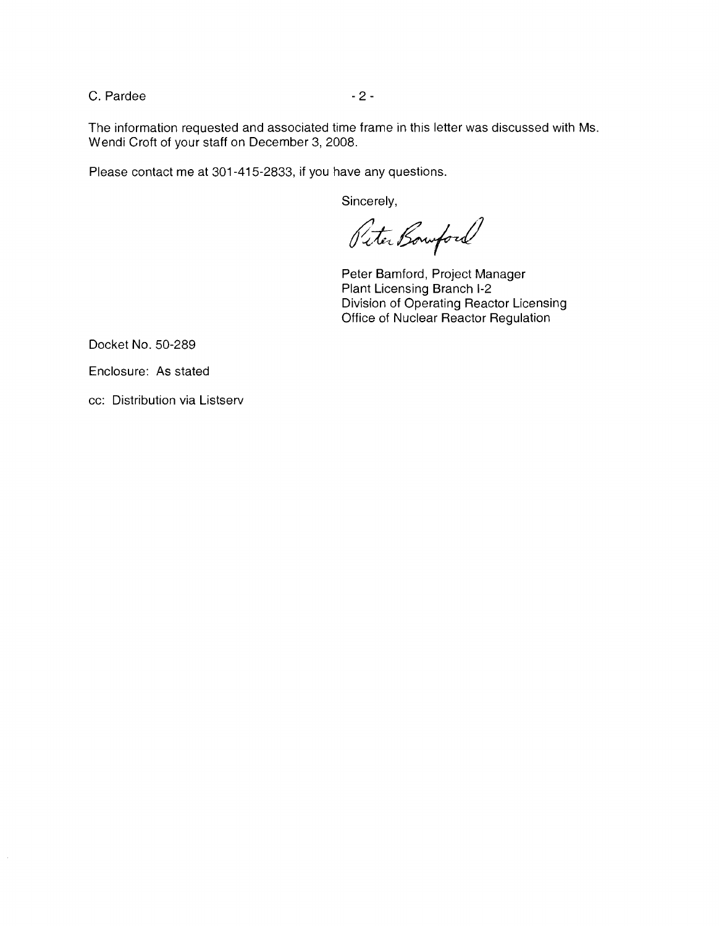C. Pardee  $-2$  -

The information requested and associated time frame in this letter was discussed with Ms. Wendi Croft of your staff on December 3, 2008.

Please contact me at 301-415-2833, if you have any questions.

Sincerely,

Peter Bowford

Peter Bamford, Project Manager Plant Licensing Branch 1-2 Division of Operating Reactor Licensing Office of Nuclear Reactor Regulation

Docket No. 50-289

Enclosure: As stated

cc: Distribution via Listserv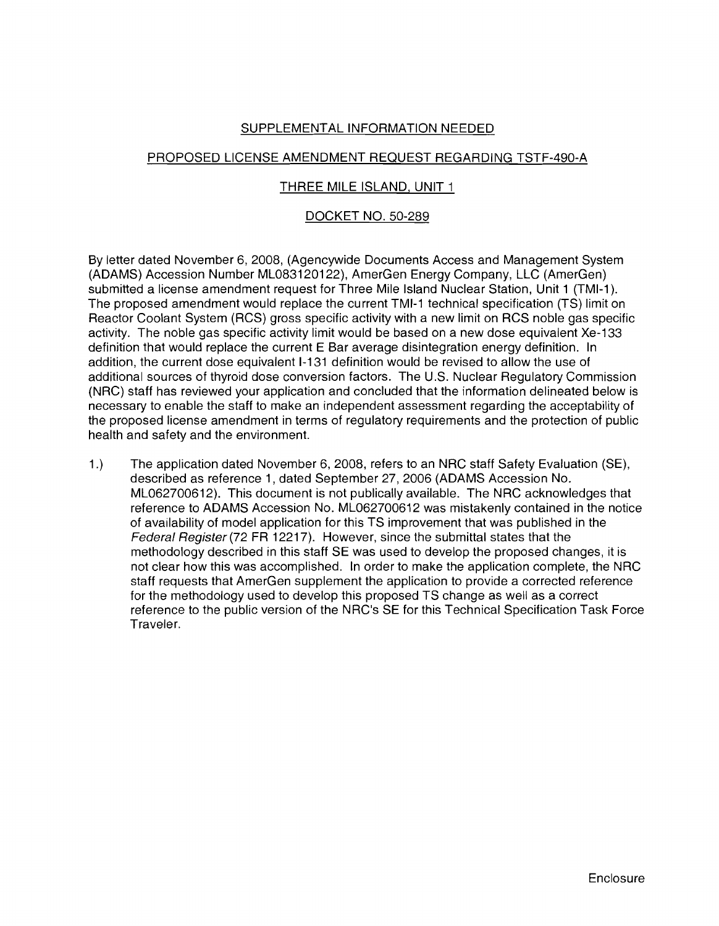# SUPPLEMENTAL INFORMATION NEEDED

## PROPOSED LICENSE AMENDMENT REQUEST REGARDING TSTF-490-A

### THREE MILE ISLAND, UNIT 1

## DOCKET NO. 50-289

By letter dated November 6, 2008, (Agencywide Documents Access and Management System (ADAMS) Accession Number ML083120122), AmerGen Energy Company, LLC (AmerGen) submitted a license amendment request for Three Mile Island Nuclear Station, Unit 1 (TMI-1). The proposed amendment would replace the current TMI-1 technical specification (TS) limit on Reactor Coolant System (RCS) gross specific activity with a new limit on RCS noble gas specific activity. The noble gas specific activity limit would be based on a new dose equivalent Xe-133 definition that would replace the current E Bar average disintegration energy definition. In addition, the current dose equivalent 1-131 definition would be revised to allow the use of additional sources of thyroid dose conversion factors. The U.S. Nuclear Regulatory Commission (NRC) staff has reviewed your application and concluded that the information delineated below is necessary to enable the staff to make an independent assessment regarding the acceptability of the proposed license amendment in terms of regulatory requirements and the protection of public health and safety and the environment.

1.) The application dated November 6, 2008, refers to an NRC staff Safety Evaluation (SE), described as reference 1, dated September 27,2006 (ADAMS Accession No. ML062700612). This document is not publically available. The NRC acknowledges that reference to ADAMS Accession No. ML062700612 was mistakenly contained in the notice of availability of model application for this TS improvement that was published in the Federal Register (72 FR 12217). However, since the submittal states that the methodology described in this staff SE was used to develop the proposed changes, it is not clear how this was accomplished. In order to make the application complete, the NRC staff requests that AmerGen supplement the application to provide a corrected reference for the methodology used to develop this proposed TS change as well as a correct reference to the public version of the NRC's SE for this Technical Specification Task Force Traveler.